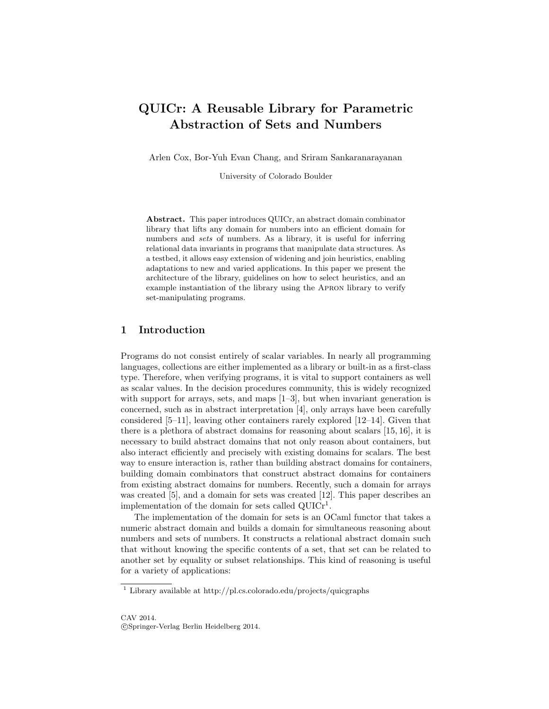# QUICr: A Reusable Library for Parametric Abstraction of Sets and Numbers

Arlen Cox, Bor-Yuh Evan Chang, and Sriram Sankaranarayanan

University of Colorado Boulder

Abstract. This paper introduces QUICr, an abstract domain combinator library that lifts any domain for numbers into an efficient domain for numbers and *sets* of numbers. As a library, it is useful for inferring relational data invariants in programs that manipulate data structures. As a testbed, it allows easy extension of widening and join heuristics, enabling adaptations to new and varied applications. In this paper we present the architecture of the library, guidelines on how to select heuristics, and an example instantiation of the library using the Apron library to verify set-manipulating programs.

## 1 Introduction

Programs do not consist entirely of scalar variables. In nearly all programming languages, collections are either implemented as a library or built-in as a first-class type. Therefore, when verifying programs, it is vital to support containers as well as scalar values. In the decision procedures community, this is widely recognized with support for arrays, sets, and maps [1–3], but when invariant generation is concerned, such as in abstract interpretation [4], only arrays have been carefully considered  $[5-11]$ , leaving other containers rarely explored  $[12-14]$ . Given that there is a plethora of abstract domains for reasoning about scalars [15, 16], it is necessary to build abstract domains that not only reason about containers, but also interact efficiently and precisely with existing domains for scalars. The best way to ensure interaction is, rather than building abstract domains for containers, building domain combinators that construct abstract domains for containers from existing abstract domains for numbers. Recently, such a domain for arrays was created [5], and a domain for sets was created [12]. This paper describes an implementation of the domain for sets called  $\mathrm{QUICr}^1$ .

The implementation of the domain for sets is an OCaml functor that takes a numeric abstract domain and builds a domain for simultaneous reasoning about numbers and sets of numbers. It constructs a relational abstract domain such that without knowing the specific contents of a set, that set can be related to another set by equality or subset relationships. This kind of reasoning is useful for a variety of applications:

<sup>&</sup>lt;sup>1</sup> Library available at http://pl.cs.colorado.edu/projects/quicgraphs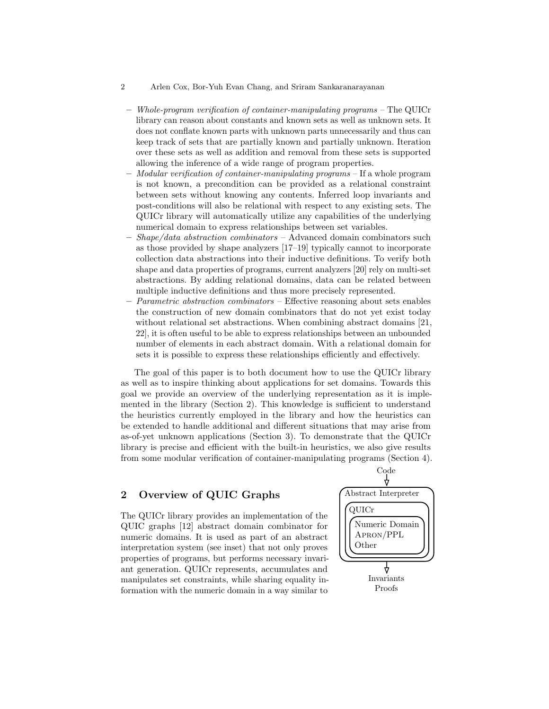- 2 Arlen Cox, Bor-Yuh Evan Chang, and Sriram Sankaranarayanan
- Whole-program verification of container-manipulating programs The QUICr library can reason about constants and known sets as well as unknown sets. It does not conflate known parts with unknown parts unnecessarily and thus can keep track of sets that are partially known and partially unknown. Iteration over these sets as well as addition and removal from these sets is supported allowing the inference of a wide range of program properties.
- $-$  Modular verification of container-manipulating programs  $-$  If a whole program is not known, a precondition can be provided as a relational constraint between sets without knowing any contents. Inferred loop invariants and post-conditions will also be relational with respect to any existing sets. The QUICr library will automatically utilize any capabilities of the underlying numerical domain to express relationships between set variables.
- $Shape/data$  abstraction combinators Advanced domain combinators such as those provided by shape analyzers [17–19] typically cannot to incorporate collection data abstractions into their inductive definitions. To verify both shape and data properties of programs, current analyzers [20] rely on multi-set abstractions. By adding relational domains, data can be related between multiple inductive definitions and thus more precisely represented.
- Parametric abstraction combinators Effective reasoning about sets enables the construction of new domain combinators that do not yet exist today without relational set abstractions. When combining abstract domains [21, 22], it is often useful to be able to express relationships between an unbounded number of elements in each abstract domain. With a relational domain for sets it is possible to express these relationships efficiently and effectively.

The goal of this paper is to both document how to use the QUICr library as well as to inspire thinking about applications for set domains. Towards this goal we provide an overview of the underlying representation as it is implemented in the library (Section 2). This knowledge is sufficient to understand the heuristics currently employed in the library and how the heuristics can be extended to handle additional and different situations that may arise from as-of-yet unknown applications (Section 3). To demonstrate that the QUICr library is precise and efficient with the built-in heuristics, we also give results from some modular verification of container-manipulating programs (Section 4).

# 2 Overview of QUIC Graphs

The QUICr library provides an implementation of the QUIC graphs [12] abstract domain combinator for numeric domains. It is used as part of an abstract interpretation system (see inset) that not only proves properties of programs, but performs necessary invariant generation. QUICr represents, accumulates and manipulates set constraints, while sharing equality information with the numeric domain in a way similar to

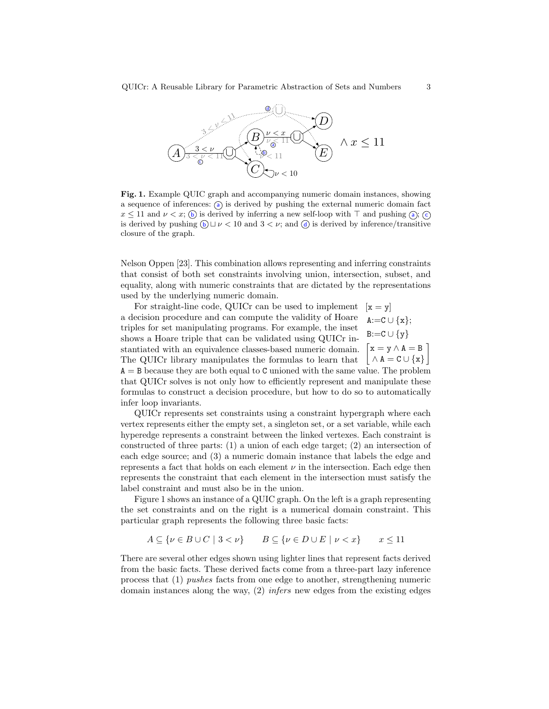

Fig. 1. Example QUIC graph and accompanying numeric domain instances, showing a sequence of inferences:  $\circledcirc$  is derived by pushing the external numeric domain fact  $x \le 11$  and  $\nu < x$ ; (b) is derived by inferring a new self-loop with  $\top$  and pushing (a); (c) is derived by pushing  $\left(\frac{1}{\nu}\right) \cup \nu < 10$  and  $3 < \nu$ ; and  $\left(\frac{1}{\nu}\right)$  is derived by inference/transitive closure of the graph.

Nelson Oppen [23]. This combination allows representing and inferring constraints that consist of both set constraints involving union, intersection, subset, and equality, along with numeric constraints that are dictated by the representations used by the underlying numeric domain.

 $[x = y]$  $A:=C\cup \{x\};$  $B:=C\cup \{y\}$  $x = y \wedge A = B$  $\wedge$  A = C  $\cup$  {x} 1 For straight-line code, QUICr can be used to implement a decision procedure and can compute the validity of Hoare triples for set manipulating programs. For example, the inset shows a Hoare triple that can be validated using QUICr instantiated with an equivalence classes-based numeric domain. The QUICr library manipulates the formulas to learn that  $A = B$  because they are both equal to C unioned with the same value. The problem that QUICr solves is not only how to efficiently represent and manipulate these formulas to construct a decision procedure, but how to do so to automatically infer loop invariants.

QUICr represents set constraints using a constraint hypergraph where each vertex represents either the empty set, a singleton set, or a set variable, while each hyperedge represents a constraint between the linked vertexes. Each constraint is constructed of three parts: (1) a union of each edge target; (2) an intersection of each edge source; and (3) a numeric domain instance that labels the edge and represents a fact that holds on each element  $\nu$  in the intersection. Each edge then represents the constraint that each element in the intersection must satisfy the label constraint and must also be in the union.

Figure 1 shows an instance of a QUIC graph. On the left is a graph representing the set constraints and on the right is a numerical domain constraint. This particular graph represents the following three basic facts:

$$
A \subseteq \{\nu \in B \cup C \mid 3 < \nu\} \qquad B \subseteq \{\nu \in D \cup E \mid \nu < x\} \qquad x \le 11
$$

There are several other edges shown using lighter lines that represent facts derived from the basic facts. These derived facts come from a three-part lazy inference process that (1) pushes facts from one edge to another, strengthening numeric domain instances along the way, (2) infers new edges from the existing edges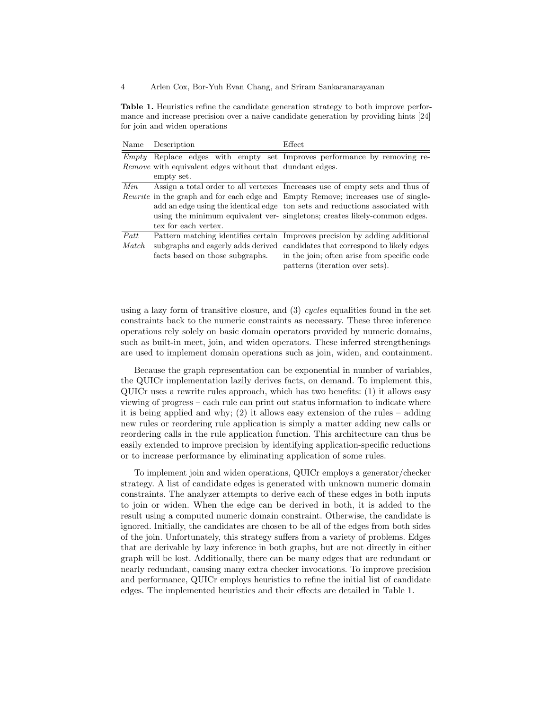Table 1. Heuristics refine the candidate generation strategy to both improve performance and increase precision over a naive candidate generation by providing hints [24] for join and widen operations

| Name         | Description                                                     | Effect                                                                                   |
|--------------|-----------------------------------------------------------------|------------------------------------------------------------------------------------------|
| Emptu        |                                                                 | Replace edges with empty set Improves performance by removing re-                        |
|              | <i>Remove</i> with equivalent edges without that dundant edges. |                                                                                          |
|              | empty set.                                                      |                                                                                          |
| Min          |                                                                 | Assign a total order to all vertexes Increases use of empty sets and thus of             |
|              |                                                                 | <i>Rewrite</i> in the graph and for each edge and Empty Remove; increases use of single- |
|              |                                                                 | add an edge using the identical edge ton sets and reductions associated with             |
|              |                                                                 | using the minimum equivalent ver-singletons; creates likely-common edges.                |
|              | tex for each vertex.                                            |                                                                                          |
| Patt         |                                                                 | Pattern matching identifies certain Improves precision by adding additional              |
| <i>Match</i> |                                                                 | subgraphs and eagerly adds derived candidates that correspond to likely edges            |
|              | facts based on those subgraphs.                                 | in the join; often arise from specific code<br>patterns (iteration over sets).           |
|              |                                                                 |                                                                                          |

using a lazy form of transitive closure, and (3) cycles equalities found in the set constraints back to the numeric constraints as necessary. These three inference operations rely solely on basic domain operators provided by numeric domains, such as built-in meet, join, and widen operators. These inferred strengthenings are used to implement domain operations such as join, widen, and containment.

Because the graph representation can be exponential in number of variables, the QUICr implementation lazily derives facts, on demand. To implement this, QUICr uses a rewrite rules approach, which has two benefits: (1) it allows easy viewing of progress – each rule can print out status information to indicate where it is being applied and why; (2) it allows easy extension of the rules – adding new rules or reordering rule application is simply a matter adding new calls or reordering calls in the rule application function. This architecture can thus be easily extended to improve precision by identifying application-specific reductions or to increase performance by eliminating application of some rules.

To implement join and widen operations, QUICr employs a generator/checker strategy. A list of candidate edges is generated with unknown numeric domain constraints. The analyzer attempts to derive each of these edges in both inputs to join or widen. When the edge can be derived in both, it is added to the result using a computed numeric domain constraint. Otherwise, the candidate is ignored. Initially, the candidates are chosen to be all of the edges from both sides of the join. Unfortunately, this strategy suffers from a variety of problems. Edges that are derivable by lazy inference in both graphs, but are not directly in either graph will be lost. Additionally, there can be many edges that are redundant or nearly redundant, causing many extra checker invocations. To improve precision and performance, QUICr employs heuristics to refine the initial list of candidate edges. The implemented heuristics and their effects are detailed in Table 1.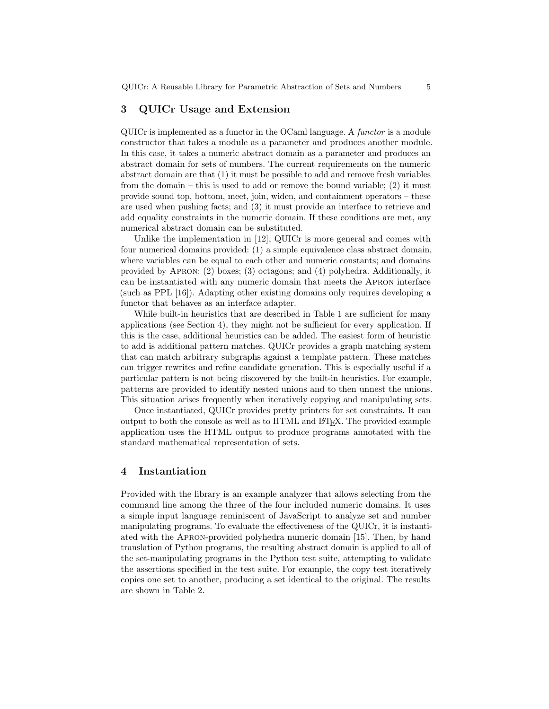#### 3 QUICr Usage and Extension

QUICr is implemented as a functor in the OCaml language. A functor is a module constructor that takes a module as a parameter and produces another module. In this case, it takes a numeric abstract domain as a parameter and produces an abstract domain for sets of numbers. The current requirements on the numeric abstract domain are that (1) it must be possible to add and remove fresh variables from the domain – this is used to add or remove the bound variable;  $(2)$  it must provide sound top, bottom, meet, join, widen, and containment operators – these are used when pushing facts; and (3) it must provide an interface to retrieve and add equality constraints in the numeric domain. If these conditions are met, any numerical abstract domain can be substituted.

Unlike the implementation in [12], QUICr is more general and comes with four numerical domains provided: (1) a simple equivalence class abstract domain, where variables can be equal to each other and numeric constants; and domains provided by Apron: (2) boxes; (3) octagons; and (4) polyhedra. Additionally, it can be instantiated with any numeric domain that meets the Apron interface (such as PPL [16]). Adapting other existing domains only requires developing a functor that behaves as an interface adapter.

While built-in heuristics that are described in Table 1 are sufficient for many applications (see Section 4), they might not be sufficient for every application. If this is the case, additional heuristics can be added. The easiest form of heuristic to add is additional pattern matches. QUICr provides a graph matching system that can match arbitrary subgraphs against a template pattern. These matches can trigger rewrites and refine candidate generation. This is especially useful if a particular pattern is not being discovered by the built-in heuristics. For example, patterns are provided to identify nested unions and to then unnest the unions. This situation arises frequently when iteratively copying and manipulating sets.

Once instantiated, QUICr provides pretty printers for set constraints. It can output to both the console as well as to HTML and L<sup>AT</sup>EX. The provided example application uses the HTML output to produce programs annotated with the standard mathematical representation of sets.

## 4 Instantiation

Provided with the library is an example analyzer that allows selecting from the command line among the three of the four included numeric domains. It uses a simple input language reminiscent of JavaScript to analyze set and number manipulating programs. To evaluate the effectiveness of the QUICr, it is instantiated with the Apron-provided polyhedra numeric domain [15]. Then, by hand translation of Python programs, the resulting abstract domain is applied to all of the set-manipulating programs in the Python test suite, attempting to validate the assertions specified in the test suite. For example, the copy test iteratively copies one set to another, producing a set identical to the original. The results are shown in Table 2.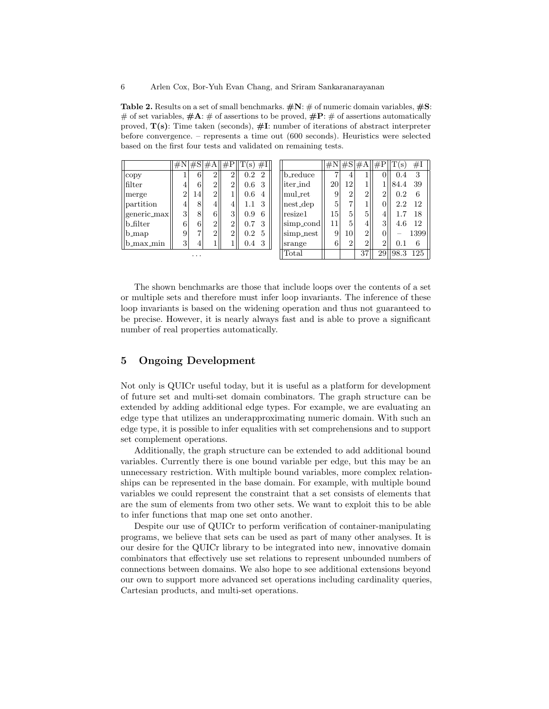**Table 2.** Results on a set of small benchmarks.  $\#\mathbf{N}$ :  $\#\$  of numeric domain variables,  $\#\mathbf{S}$ : # of set variables,  $\#\mathbf{A}$ : # of assertions to be proved,  $\#\mathbf{P}$ : # of assertions automatically proved,  $T(s)$ : Time taken (seconds),  $\#I$ : number of iterations of abstract interpreter before convergence. – represents a time out (600 seconds). Heuristics were selected based on the first four tests and validated on remaining tests.

|                 | $\#\Lambda$    | #S | #A             | $\#\mathrm{I}$ | T(s)      | #1 |  |  |  |  |
|-----------------|----------------|----|----------------|----------------|-----------|----|--|--|--|--|
| copy            |                | 6  | $\overline{2}$ | 2              | $0.2 \t2$ |    |  |  |  |  |
| filter          | 4              | 6  | $\overline{2}$ | $\overline{2}$ | 0.6       | 3  |  |  |  |  |
| merge           | $\overline{2}$ | 14 | $\overline{2}$ | 1              | 0.6       |    |  |  |  |  |
| partition       | 4              | 8  | 4              | 4              | 1.1       | 3  |  |  |  |  |
| generic_max     | 3              | 8  | 6              | 3              | 0.9       | 6  |  |  |  |  |
| <b>b_filter</b> | 6              | 6  | $\overline{2}$ | $\overline{2}$ | 0.7       | 3  |  |  |  |  |
| b_map           | 9              | 7  | $\overline{2}$ | 2              | 0.2       | 5  |  |  |  |  |
| b_max_min       | 3              | 4  |                |                | 0.4       | 3  |  |  |  |  |
|                 |                |    |                |                |           |    |  |  |  |  |

|                            |    | #S             | #A             | $\#P$          | T(s) | $\#\mathrm{I}$ |
|----------------------------|----|----------------|----------------|----------------|------|----------------|
| b_reduce                   |    |                |                | 0              | 0.4  | 3              |
| $\operatorname{iter\_ind}$ | 20 | 12             | 1              |                | 84.4 | 39             |
| mul_ret                    | 9  | $\overline{2}$ | $\overline{2}$ | 2              | 0.2  | 6              |
| nest_dep                   | 5  | 7              | 1              | $\overline{0}$ | 2.2  | 12             |
| resize1                    | 15 | 5              | 5              | 4              | 1.7  | 18             |
| simp_cond                  | 11 | 5              | 4              | 3              | 4.6  | 12             |
| simp_nest                  | 9  | 10             | $\overline{2}$ | $\overline{0}$ |      | 1399           |
| srange                     | 6  | $\overline{2}$ | $\overline{2}$ | $\overline{2}$ | 0.1  | 6              |
| Total                      |    |                | 37             | 29             | 98.3 | 125            |

The shown benchmarks are those that include loops over the contents of a set or multiple sets and therefore must infer loop invariants. The inference of these loop invariants is based on the widening operation and thus not guaranteed to be precise. However, it is nearly always fast and is able to prove a significant number of real properties automatically.

## 5 Ongoing Development

Not only is QUICr useful today, but it is useful as a platform for development of future set and multi-set domain combinators. The graph structure can be extended by adding additional edge types. For example, we are evaluating an edge type that utilizes an underapproximating numeric domain. With such an edge type, it is possible to infer equalities with set comprehensions and to support set complement operations.

Additionally, the graph structure can be extended to add additional bound variables. Currently there is one bound variable per edge, but this may be an unnecessary restriction. With multiple bound variables, more complex relationships can be represented in the base domain. For example, with multiple bound variables we could represent the constraint that a set consists of elements that are the sum of elements from two other sets. We want to exploit this to be able to infer functions that map one set onto another.

Despite our use of QUICr to perform verification of container-manipulating programs, we believe that sets can be used as part of many other analyses. It is our desire for the QUICr library to be integrated into new, innovative domain combinators that effectively use set relations to represent unbounded numbers of connections between domains. We also hope to see additional extensions beyond our own to support more advanced set operations including cardinality queries, Cartesian products, and multi-set operations.